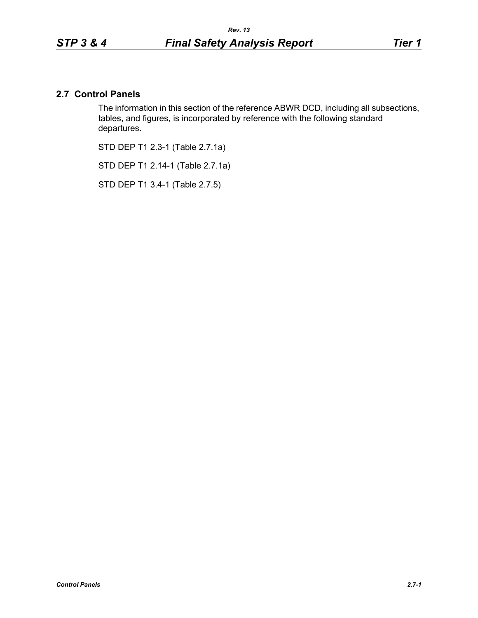# **2.7 Control Panels**

The information in this section of the reference ABWR DCD, including all subsections, tables, and figures, is incorporated by reference with the following standard departures.

STD DEP T1 2.3-1 (Table 2.7.1a)

STD DEP T1 2.14-1 (Table 2.7.1a)

STD DEP T1 3.4-1 (Table 2.7.5)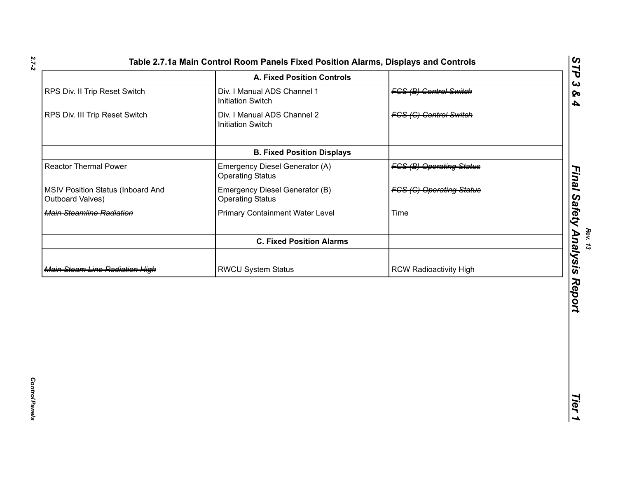|                                                       | <b>A. Fixed Position Controls</b>                         |                                 | <b>FP</b><br>$\boldsymbol{\omega}$ |
|-------------------------------------------------------|-----------------------------------------------------------|---------------------------------|------------------------------------|
| RPS Div. II Trip Reset Switch                         | Div. I Manual ADS Channel 1<br><b>Initiation Switch</b>   | <b>FCS (B) Control Switch</b>   | ଚ୍ଚ<br>$\blacktriangle$            |
| RPS Div. III Trip Reset Switch                        | Div. I Manual ADS Channel 2<br><b>Initiation Switch</b>   | <b>FCS (C) Control Switch</b>   |                                    |
|                                                       | <b>B. Fixed Position Displays</b>                         |                                 |                                    |
| <b>Reactor Thermal Power</b>                          | Emergency Diesel Generator (A)<br><b>Operating Status</b> | <b>FGS (B) Operating Status</b> |                                    |
| MSIV Position Status (Inboard And<br>Outboard Valves) | Emergency Diesel Generator (B)<br><b>Operating Status</b> | <b>FCS (C) Operating Status</b> |                                    |
| Main Steamline Radiation                              | <b>Primary Containment Water Level</b>                    | Time                            | Final Safety Analysis              |
|                                                       | <b>C. Fixed Position Alarms</b>                           |                                 |                                    |
| <b>Main Steam Line Radiation High</b>                 | RWCU System Status                                        | <b>RCW Radioactivity High</b>   |                                    |
|                                                       |                                                           |                                 | Report                             |
|                                                       |                                                           |                                 | Tier                               |

*2.7-2*

**Rev. 13**<br>Rev. 13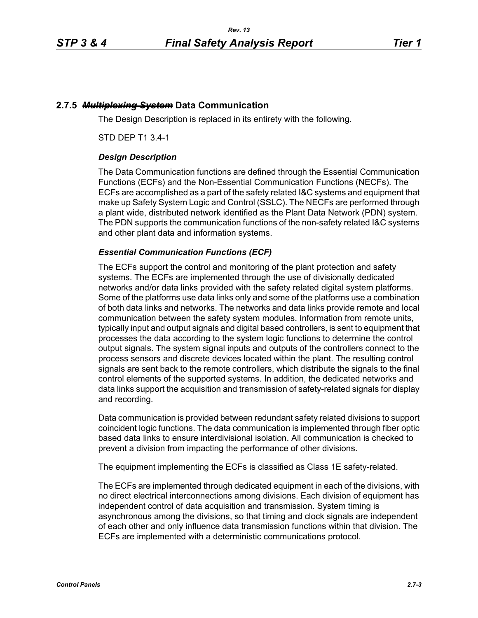## **2.7.5** *Multiplexing System* **Data Communication**

The Design Description is replaced in its entirety with the following.

STD DEP T1 3.4-1

## *Design Description*

The Data Communication functions are defined through the Essential Communication Functions (ECFs) and the Non-Essential Communication Functions (NECFs). The ECFs are accomplished as a part of the safety related I&C systems and equipment that make up Safety System Logic and Control (SSLC). The NECFs are performed through a plant wide, distributed network identified as the Plant Data Network (PDN) system. The PDN supports the communication functions of the non-safety related I&C systems and other plant data and information systems.

## *Essential Communication Functions (ECF)*

The ECFs support the control and monitoring of the plant protection and safety systems. The ECFs are implemented through the use of divisionally dedicated networks and/or data links provided with the safety related digital system platforms. Some of the platforms use data links only and some of the platforms use a combination of both data links and networks. The networks and data links provide remote and local communication between the safety system modules. Information from remote units, typically input and output signals and digital based controllers, is sent to equipment that processes the data according to the system logic functions to determine the control output signals. The system signal inputs and outputs of the controllers connect to the process sensors and discrete devices located within the plant. The resulting control signals are sent back to the remote controllers, which distribute the signals to the final control elements of the supported systems. In addition, the dedicated networks and data links support the acquisition and transmission of safety-related signals for display and recording.

Data communication is provided between redundant safety related divisions to support coincident logic functions. The data communication is implemented through fiber optic based data links to ensure interdivisional isolation. All communication is checked to prevent a division from impacting the performance of other divisions.

The equipment implementing the ECFs is classified as Class 1E safety-related.

The ECFs are implemented through dedicated equipment in each of the divisions, with no direct electrical interconnections among divisions. Each division of equipment has independent control of data acquisition and transmission. System timing is asynchronous among the divisions, so that timing and clock signals are independent of each other and only influence data transmission functions within that division. The ECFs are implemented with a deterministic communications protocol.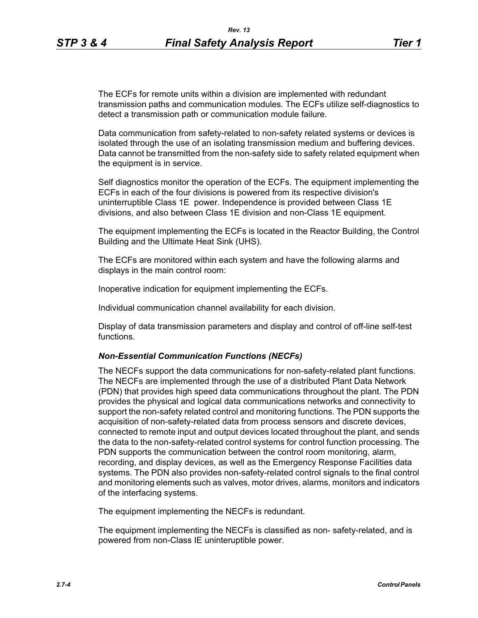The ECFs for remote units within a division are implemented with redundant transmission paths and communication modules. The ECFs utilize self-diagnostics to detect a transmission path or communication module failure.

Data communication from safety-related to non-safety related systems or devices is isolated through the use of an isolating transmission medium and buffering devices. Data cannot be transmitted from the non-safety side to safety related equipment when the equipment is in service.

Self diagnostics monitor the operation of the ECFs. The equipment implementing the ECFs in each of the four divisions is powered from its respective division's uninterruptible Class 1E power. Independence is provided between Class 1E divisions, and also between Class 1E division and non-Class 1E equipment.

The equipment implementing the ECFs is located in the Reactor Building, the Control Building and the Ultimate Heat Sink (UHS).

The ECFs are monitored within each system and have the following alarms and displays in the main control room:

Inoperative indication for equipment implementing the ECFs.

Individual communication channel availability for each division.

Display of data transmission parameters and display and control of off-line self-test functions.

### *Non-Essential Communication Functions (NECFs)*

The NECFs support the data communications for non-safety-related plant functions. The NECFs are implemented through the use of a distributed Plant Data Network (PDN) that provides high speed data communications throughout the plant. The PDN provides the physical and logical data communications networks and connectivity to support the non-safety related control and monitoring functions. The PDN supports the acquisition of non-safety-related data from process sensors and discrete devices, connected to remote input and output devices located throughout the plant, and sends the data to the non-safety-related control systems for control function processing. The PDN supports the communication between the control room monitoring, alarm, recording, and display devices, as well as the Emergency Response Facilities data systems. The PDN also provides non-safety-related control signals to the final control and monitoring elements such as valves, motor drives, alarms, monitors and indicators of the interfacing systems.

The equipment implementing the NECFs is redundant.

The equipment implementing the NECFs is classified as non- safety-related, and is powered from non-Class IE uninteruptible power.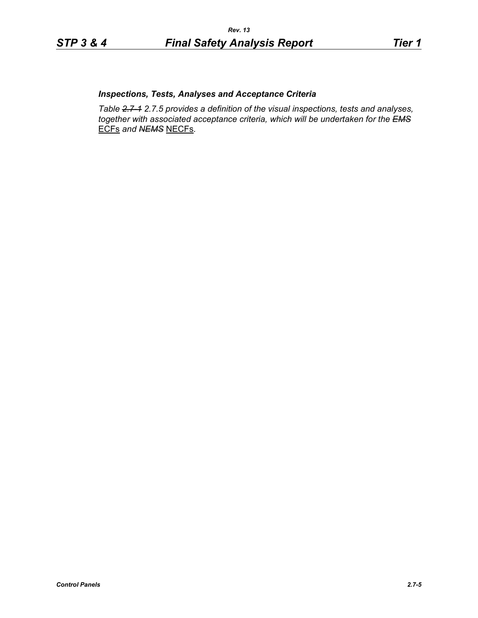# *Inspections, Tests, Analyses and Acceptance Criteria*

*Table 2.7-1 2.7.5 provides a definition of the visual inspections, tests and analyses, together with associated acceptance criteria, which will be undertaken for the EMS* ECFs *and NEMS* NECFs*.*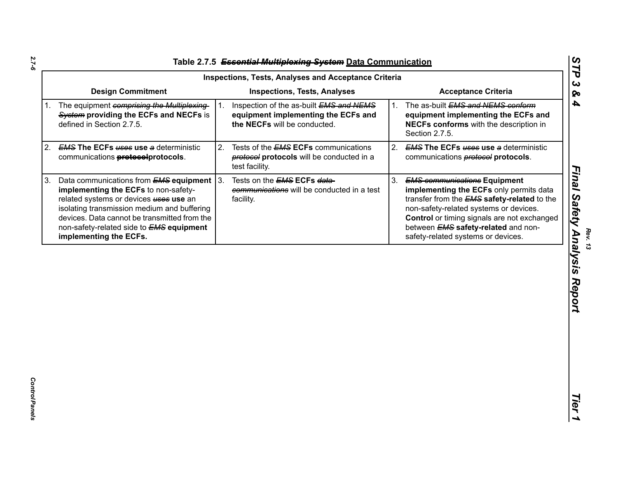|                                                                                                                                                                                                                                                                                                                        | <b>Inspections, Tests, Analyses and Acceptance Criteria</b>                                                    |                                                                                                                                                                                                                                                                                                                                |
|------------------------------------------------------------------------------------------------------------------------------------------------------------------------------------------------------------------------------------------------------------------------------------------------------------------------|----------------------------------------------------------------------------------------------------------------|--------------------------------------------------------------------------------------------------------------------------------------------------------------------------------------------------------------------------------------------------------------------------------------------------------------------------------|
| <b>Design Commitment</b>                                                                                                                                                                                                                                                                                               | <b>Inspections, Tests, Analyses</b>                                                                            | <b>Acceptance Criteria</b>                                                                                                                                                                                                                                                                                                     |
| The equipment comprising the Multiplexing-<br>System providing the ECFs and NECFs is<br>defined in Section 2.7.5.                                                                                                                                                                                                      | Inspection of the as-built EMS and NEMS<br>equipment implementing the ECFs and<br>the NECFs will be conducted. | The as-built EMS and NEMS conform<br>$1_{\cdot}$<br>equipment implementing the ECFs and<br>NECFs conforms with the description in<br>Section 2.7.5.                                                                                                                                                                            |
| <b>EMS The ECFs uses use a deterministic</b><br>communications <b>protocolprotocols</b> .                                                                                                                                                                                                                              | 2.<br>Tests of the <b>EMS ECFs</b> communications<br>protocols will be conducted in a<br>test facility.        | 2. EMS The ECFs uses use a deterministic<br>communications <b>protocol</b> protocols.                                                                                                                                                                                                                                          |
| Data communications from $EMS$ equipment 3.<br>3.<br>implementing the ECFs to non-safety-<br>related systems or devices <b>uses</b> use an<br>isolating transmission medium and buffering<br>devices. Data cannot be transmitted from the<br>non-safety-related side to <b>EMS equipment</b><br>implementing the ECFs. | Tests on the <b>EMS ECFs data-</b><br>communications will be conducted in a test<br>facility.                  | 3.<br><b>EMS communications Equipment</b><br>implementing the ECFs only permits data<br>transfer from the <b>EMS</b> safety-related to the<br>non-safety-related systems or devices.<br><b>Control</b> or timing signals are not exchanged<br>between <b>EMS</b> safety-related and non-<br>safety-related systems or devices. |
|                                                                                                                                                                                                                                                                                                                        |                                                                                                                |                                                                                                                                                                                                                                                                                                                                |
|                                                                                                                                                                                                                                                                                                                        |                                                                                                                |                                                                                                                                                                                                                                                                                                                                |
|                                                                                                                                                                                                                                                                                                                        |                                                                                                                |                                                                                                                                                                                                                                                                                                                                |
|                                                                                                                                                                                                                                                                                                                        |                                                                                                                |                                                                                                                                                                                                                                                                                                                                |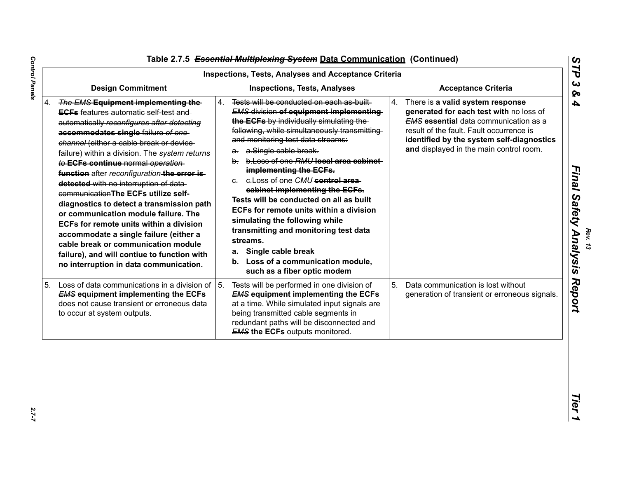|    | <b>Inspections, Tests, Analyses and Acceptance Criteria</b>                                                                                                                                                                                                                                                                                                                                                                                                                                                                                                                                                                                                                                                                                            |                                                                                                                                                                                                                                                                                                                                                                                                                                                                                                                                                                                                                                                                                                    |    |                                                                                                                                                                                                                                                                 |  |  |
|----|--------------------------------------------------------------------------------------------------------------------------------------------------------------------------------------------------------------------------------------------------------------------------------------------------------------------------------------------------------------------------------------------------------------------------------------------------------------------------------------------------------------------------------------------------------------------------------------------------------------------------------------------------------------------------------------------------------------------------------------------------------|----------------------------------------------------------------------------------------------------------------------------------------------------------------------------------------------------------------------------------------------------------------------------------------------------------------------------------------------------------------------------------------------------------------------------------------------------------------------------------------------------------------------------------------------------------------------------------------------------------------------------------------------------------------------------------------------------|----|-----------------------------------------------------------------------------------------------------------------------------------------------------------------------------------------------------------------------------------------------------------------|--|--|
|    | <b>Design Commitment</b>                                                                                                                                                                                                                                                                                                                                                                                                                                                                                                                                                                                                                                                                                                                               | <b>Inspections, Tests, Analyses</b>                                                                                                                                                                                                                                                                                                                                                                                                                                                                                                                                                                                                                                                                |    | <b>Acceptance Criteria</b>                                                                                                                                                                                                                                      |  |  |
| 4. | The EMS Equipment implementing the<br><b>EGFs</b> features automatic self test and<br>automatically reconfigures after detecting<br>accommodates single failure of one<br>channel (either a cable break or device-<br>failure) within a division. The system returns-<br>to ECFs continue normal operation-<br>function after reconfiguration the error is-<br>detected with no interruption of data<br>communication The ECFs utilize self-<br>diagnostics to detect a transmission path<br>or communication module failure. The<br>ECFs for remote units within a division<br>accommodate a single failure (either a<br>cable break or communication module<br>failure), and will contiue to function with<br>no interruption in data communication. | 4.<br>Tests will be conducted on each as built<br><b>EMS division of equipment implementing-</b><br>the ECFs by individually simulating the<br>following, while simultaneously transmitting<br>and monitoring test data streams:<br>a.Single cable break.<br>а.<br>b. b. Loss of one RMU local area cabinet<br>implementing the ECFs.<br>e. e. Loss of one CMU control area<br>cabinet implementing the ECFs.<br>Tests will be conducted on all as built<br><b>ECFs for remote units within a division</b><br>simulating the following while<br>transmitting and monitoring test data<br>streams.<br>Single cable break<br>а.<br>b. Loss of a communication module,<br>such as a fiber optic modem | 4. | There is a valid system response<br>generated for each test with no loss of<br><b>EMS</b> essential data communication as a<br>result of the fault. Fault occurrence is<br>identified by the system self-diagnostics<br>and displayed in the main control room. |  |  |
| 5. | Loss of data communications in a division of $\vert$ 5.<br><b>EMS equipment implementing the ECFs</b><br>does not cause transient or erroneous data<br>to occur at system outputs.                                                                                                                                                                                                                                                                                                                                                                                                                                                                                                                                                                     | Tests will be performed in one division of<br><b>EMS equipment implementing the ECFs</b><br>at a time. While simulated input signals are<br>being transmitted cable segments in<br>redundant paths will be disconnected and<br><b>EMS the ECFs outputs monitored.</b>                                                                                                                                                                                                                                                                                                                                                                                                                              | 5. | Data communication is lost without<br>generation of transient or erroneous signals.                                                                                                                                                                             |  |  |

*Rev. 13*